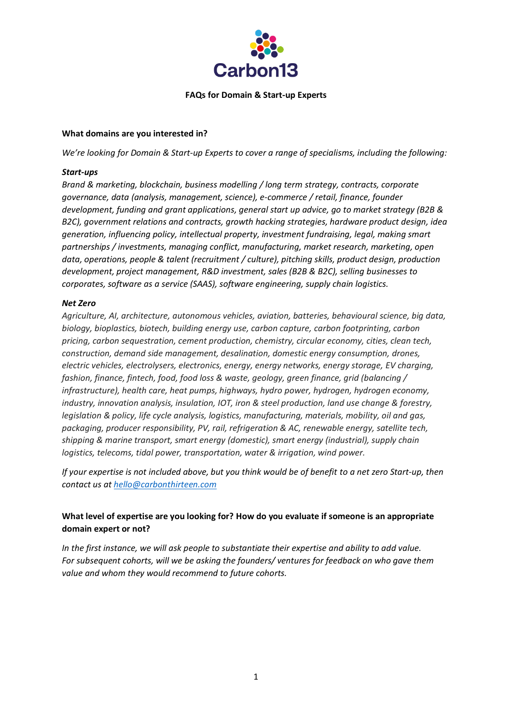

#### **FAQs for Domain & Start-up Experts**

#### **What domains are you interested in?**

*We're looking for Domain & Start-up Experts to cover a range of specialisms, including the following:*

#### *Start-ups*

*Brand & marketing, blockchain, business modelling / long term strategy, contracts, corporate governance, data (analysis, management, science), e-commerce / retail, finance, founder development, funding and grant applications, general start up advice, go to market strategy (B2B & B2C), government relations and contracts, growth hacking strategies, hardware product design, idea generation, influencing policy, intellectual property, investment fundraising, legal, making smart partnerships / investments, managing conflict, manufacturing, market research, marketing, open data, operations, people & talent (recruitment / culture), pitching skills, product design, production development, project management, R&D investment, sales (B2B & B2C), selling businesses to corporates, software as a service (SAAS), software engineering, supply chain logistics.*

#### *Net Zero*

*Agriculture, AI, architecture, autonomous vehicles, aviation, batteries, behavioural science, big data, biology, bioplastics, biotech, building energy use, carbon capture, carbon footprinting, carbon pricing, carbon sequestration, cement production, chemistry, circular economy, cities, clean tech, construction, demand side management, desalination, domestic energy consumption, drones, electric vehicles, electrolysers, electronics, energy, energy networks, energy storage, EV charging, fashion, finance, fintech, food, food loss & waste, geology, green finance, grid (balancing / infrastructure), health care, heat pumps, highways, hydro power, hydrogen, hydrogen economy, industry, innovation analysis, insulation, IOT, iron & steel production, land use change & forestry, legislation & policy, life cycle analysis, logistics, manufacturing, materials, mobility, oil and gas, packaging, producer responsibility, PV, rail, refrigeration & AC, renewable energy, satellite tech, shipping & marine transport, smart energy (domestic), smart energy (industrial), supply chain logistics, telecoms, tidal power, transportation, water & irrigation, wind power.*

*If your expertise is not included above, but you think would be of benefit to a net zero Start-up, then contact us at [hello@carbonthirteen.com](mailto:hello@carbonthirteen.com)*

## **What level of expertise are you looking for? How do you evaluate if someone is an appropriate domain expert or not?**

*In the first instance, we will ask people to substantiate their expertise and ability to add value. For subsequent cohorts, will we be asking the founders/ ventures for feedback on who gave them value and whom they would recommend to future cohorts.*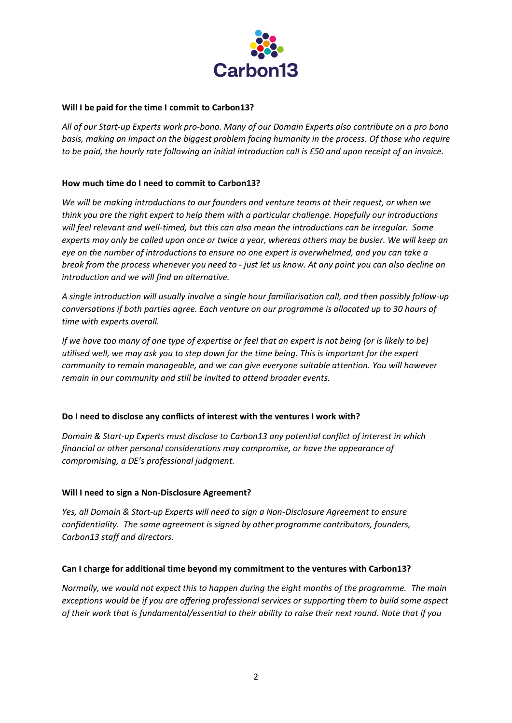

## **Will I be paid for the time I commit to Carbon13?**

*All of our Start-up Experts work pro-bono. Many of our Domain Experts also contribute on a pro bono basis, making an impact on the biggest problem facing humanity in the process. Of those who require to be paid, the hourly rate following an initial introduction call is £50 and upon receipt of an invoice.*

## **How much time do I need to commit to Carbon13?**

*We will be making introductions to our founders and venture teams at their request, or when we think you are the right expert to help them with a particular challenge. Hopefully our introductions will feel relevant and well-timed, but this can also mean the introductions can be irregular. Some experts may only be called upon once or twice a year, whereas others may be busier. We will keep an eye on the number of introductions to ensure no one expert is overwhelmed, and you can take a break from the process whenever you need to - just let us know. At any point you can also decline an introduction and we will find an alternative.* 

*A single introduction will usually involve a single hour familiarisation call, and then possibly follow-up conversations if both parties agree. Each venture on our programme is allocated up to 30 hours of time with experts overall.* 

*If we have too many of one type of expertise or feel that an expert is not being (or is likely to be) utilised well, we may ask you to step down for the time being. This is important for the expert community to remain manageable, and we can give everyone suitable attention. You will however remain in our community and still be invited to attend broader events.*

#### **Do I need to disclose any conflicts of interest with the ventures I work with?**

*Domain & Start-up Experts must disclose to Carbon13 any potential conflict of interest in which financial or other personal considerations may compromise, or have the appearance of compromising, a DE's professional judgment.*

#### **Will I need to sign a Non-Disclosure Agreement?**

*Yes, all Domain & Start-up Experts will need to sign a Non-Disclosure Agreement to ensure confidentiality. The same agreement is signed by other programme contributors, founders, Carbon13 staff and directors.*

#### **Can I charge for additional time beyond my commitment to the ventures with Carbon13?**

*Normally, we would not expect this to happen during the eight months of the programme. The main exceptions would be if you are offering professional services or supporting them to build some aspect of their work that is fundamental/essential to their ability to raise their next round. Note that if you*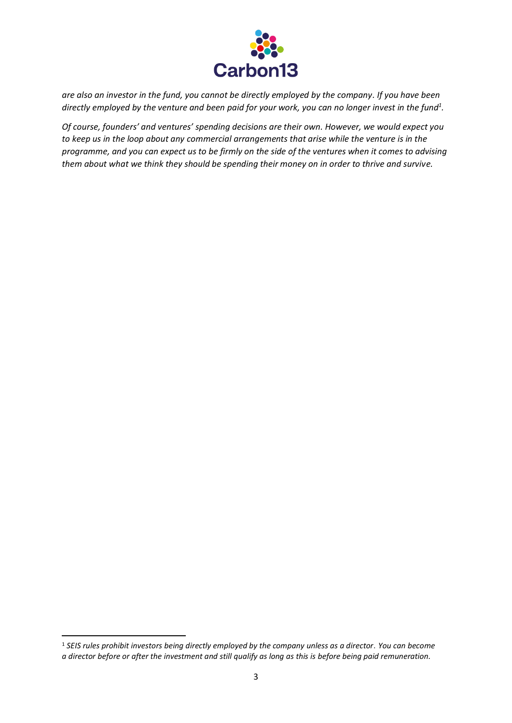

*are also an investor in the fund, you cannot be directly employed by the company. If you have been directly employed by the venture and been paid for your work, you can no longer invest in the fund<sup>1</sup> .* 

*Of course, founders' and ventures' spending decisions are their own. However, we would expect you to keep us in the loop about any commercial arrangements that arise while the venture is in the programme, and you can expect us to be firmly on the side of the ventures when it comes to advising them about what we think they should be spending their money on in order to thrive and survive.*

<sup>1</sup> *SEIS rules prohibit investors being directly employed by the company unless as a director*. *You can become a director before or after the investment and still qualify as long as this is before being paid remuneration.*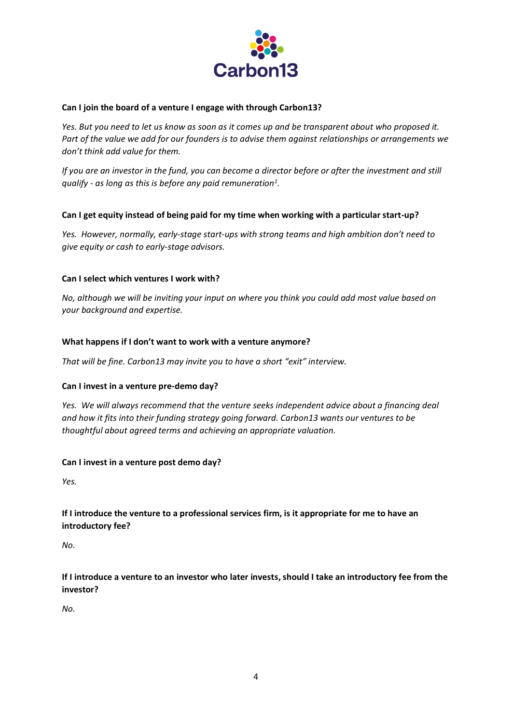

## **Can I join the board of a venture I engage with through Carbon13?**

*Yes. But you need to let us know as soon as it comes up and be transparent about who proposed it. Part of the value we add for our founders is to advise them against relationships or arrangements we don't think add value for them.*

*If you are an investor in the fund, you can become a director before or after the investment and still qualify - as long as this is before any paid remuneration<sup>1</sup> .* 

## **Can I get equity instead of being paid for my time when working with a particular start-up?**

*Yes. However, normally, early-stage start-ups with strong teams and high ambition don't need to give equity or cash to early-stage advisors.*

## **Can I select which ventures I work with?**

*No, although we will be inviting your input on where you think you could add most value based on your background and expertise.* 

## **What happens if I don't want to work with a venture anymore?**

*That will be fine. Carbon13 may invite you to have a short "exit" interview.*

#### **Can I invest in a venture pre-demo day?**

*Yes. We will always recommend that the venture seeks independent advice about a financing deal and how it fits into their funding strategy going forward. Carbon13 wants our ventures to be thoughtful about agreed terms and achieving an appropriate valuation.*

#### **Can I invest in a venture post demo day?**

*Yes.*

# **If I introduce the venture to a professional services firm, is it appropriate for me to have an introductory fee?**

*No.*

# **If I introduce a venture to an investor who later invests, should I take an introductory fee from the investor?**

*No.*